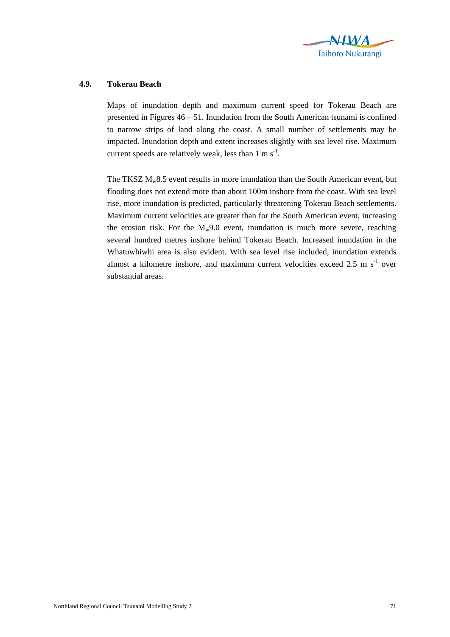

## **4.9. Tokerau Beach**

Maps of inundation depth and maximum current speed for Tokerau Beach are presented in Figures 46 – 51. Inundation from the South American tsunami is confined to narrow strips of land along the coast. A small number of settlements may be impacted. Inundation depth and extent increases slightly with sea level rise. Maximum current speeds are relatively weak, less than  $1 \text{ m s}^{-1}$ .

The TKSZ  $M_w8.5$  event results in more inundation than the South American event, but flooding does not extend more than about 100m inshore from the coast. With sea level rise, more inundation is predicted, particularly threatening Tokerau Beach settlements. Maximum current velocities are greater than for the South American event, increasing the erosion risk. For the  $M_w9.0$  event, inundation is much more severe, reaching several hundred metres inshore behind Tokerau Beach. Increased inundation in the Whatuwhiwhi area is also evident. With sea level rise included, inundation extends almost a kilometre inshore, and maximum current velocities exceed  $2.5 \text{ m s}^{-1}$  over substantial areas.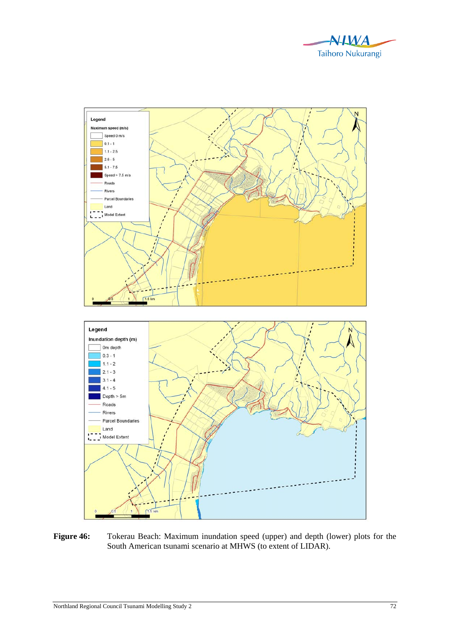



Figure 46: Tokerau Beach: Maximum inundation speed (upper) and depth (lower) plots for the South American tsunami scenario at MHWS (to extent of LIDAR).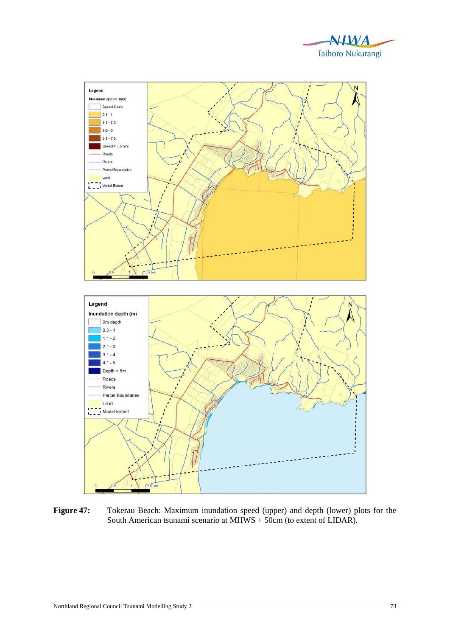



Figure 47: Tokerau Beach: Maximum inundation speed (upper) and depth (lower) plots for the South American tsunami scenario at MHWS + 50cm (to extent of LIDAR).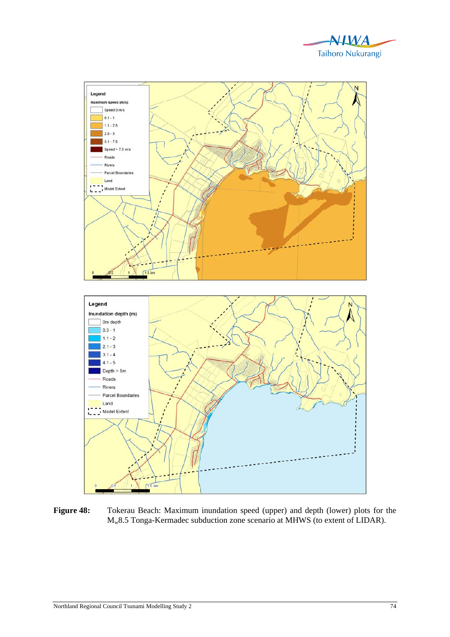



Figure 48: Tokerau Beach: Maximum inundation speed (upper) and depth (lower) plots for the Mw8.5 Tonga-Kermadec subduction zone scenario at MHWS (to extent of LIDAR).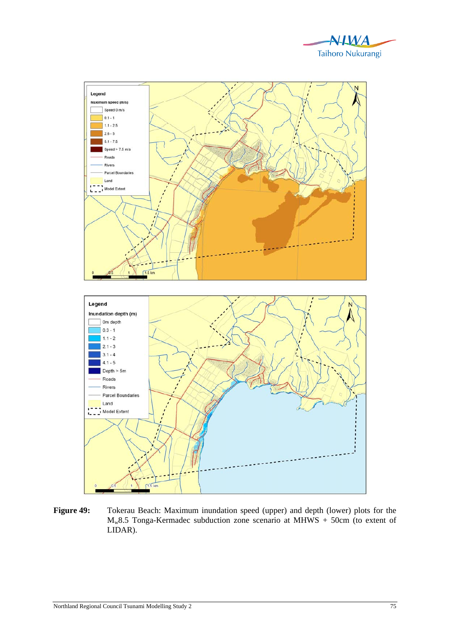



Figure 49: Tokerau Beach: Maximum inundation speed (upper) and depth (lower) plots for the  $M_w8.5$  Tonga-Kermadec subduction zone scenario at MHWS + 50cm (to extent of LIDAR).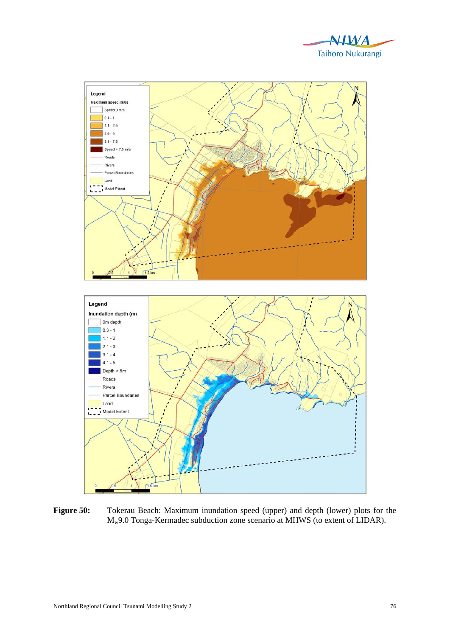



**Figure 50:** Tokerau Beach: Maximum inundation speed (upper) and depth (lower) plots for the Mw9.0 Tonga-Kermadec subduction zone scenario at MHWS (to extent of LIDAR).